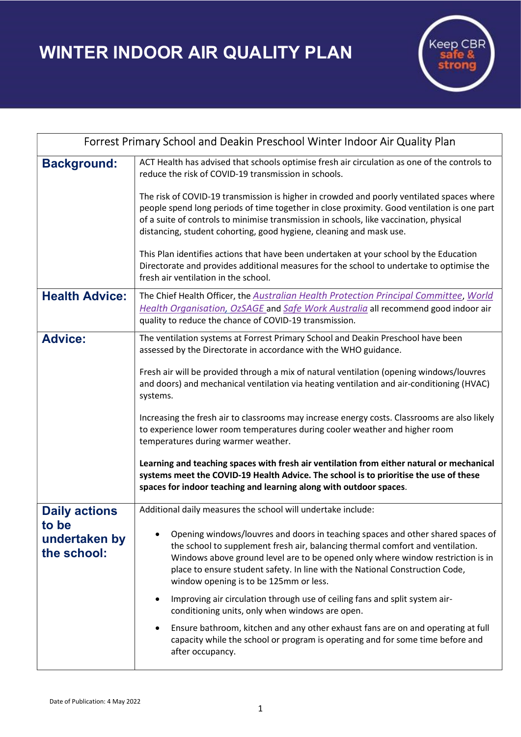WINTER INDOOR AIR QUALITY PLAN



| Forrest Primary School and Deakin Preschool Winter Indoor Air Quality Plan |                                                                                                                                                                                                                                                                                                                                                                                                                                                                                                                                                                                                                                                                                                                                                                                         |
|----------------------------------------------------------------------------|-----------------------------------------------------------------------------------------------------------------------------------------------------------------------------------------------------------------------------------------------------------------------------------------------------------------------------------------------------------------------------------------------------------------------------------------------------------------------------------------------------------------------------------------------------------------------------------------------------------------------------------------------------------------------------------------------------------------------------------------------------------------------------------------|
| <b>Background:</b>                                                         | ACT Health has advised that schools optimise fresh air circulation as one of the controls to<br>reduce the risk of COVID-19 transmission in schools.                                                                                                                                                                                                                                                                                                                                                                                                                                                                                                                                                                                                                                    |
|                                                                            | The risk of COVID-19 transmission is higher in crowded and poorly ventilated spaces where<br>people spend long periods of time together in close proximity. Good ventilation is one part<br>of a suite of controls to minimise transmission in schools, like vaccination, physical<br>distancing, student cohorting, good hygiene, cleaning and mask use.                                                                                                                                                                                                                                                                                                                                                                                                                               |
|                                                                            | This Plan identifies actions that have been undertaken at your school by the Education<br>Directorate and provides additional measures for the school to undertake to optimise the<br>fresh air ventilation in the school.                                                                                                                                                                                                                                                                                                                                                                                                                                                                                                                                                              |
| <b>Health Advice:</b>                                                      | The Chief Health Officer, the Australian Health Protection Principal Committee, World<br>Health Organisation, OzSAGE and Safe Work Australia all recommend good indoor air<br>quality to reduce the chance of COVID-19 transmission.                                                                                                                                                                                                                                                                                                                                                                                                                                                                                                                                                    |
| <b>Advice:</b>                                                             | The ventilation systems at Forrest Primary School and Deakin Preschool have been<br>assessed by the Directorate in accordance with the WHO guidance.<br>Fresh air will be provided through a mix of natural ventilation (opening windows/louvres<br>and doors) and mechanical ventilation via heating ventilation and air-conditioning (HVAC)<br>systems.<br>Increasing the fresh air to classrooms may increase energy costs. Classrooms are also likely<br>to experience lower room temperatures during cooler weather and higher room<br>temperatures during warmer weather.<br>Learning and teaching spaces with fresh air ventilation from either natural or mechanical                                                                                                            |
|                                                                            | systems meet the COVID-19 Health Advice. The school is to prioritise the use of these<br>spaces for indoor teaching and learning along with outdoor spaces.                                                                                                                                                                                                                                                                                                                                                                                                                                                                                                                                                                                                                             |
| <b>Daily actions</b><br>to be<br>undertaken by<br>the school:              | Additional daily measures the school will undertake include:<br>Opening windows/louvres and doors in teaching spaces and other shared spaces of<br>the school to supplement fresh air, balancing thermal comfort and ventilation.<br>Windows above ground level are to be opened only where window restriction is in<br>place to ensure student safety. In line with the National Construction Code,<br>window opening is to be 125mm or less.<br>Improving air circulation through use of ceiling fans and split system air-<br>$\bullet$<br>conditioning units, only when windows are open.<br>Ensure bathroom, kitchen and any other exhaust fans are on and operating at full<br>capacity while the school or program is operating and for some time before and<br>after occupancy. |